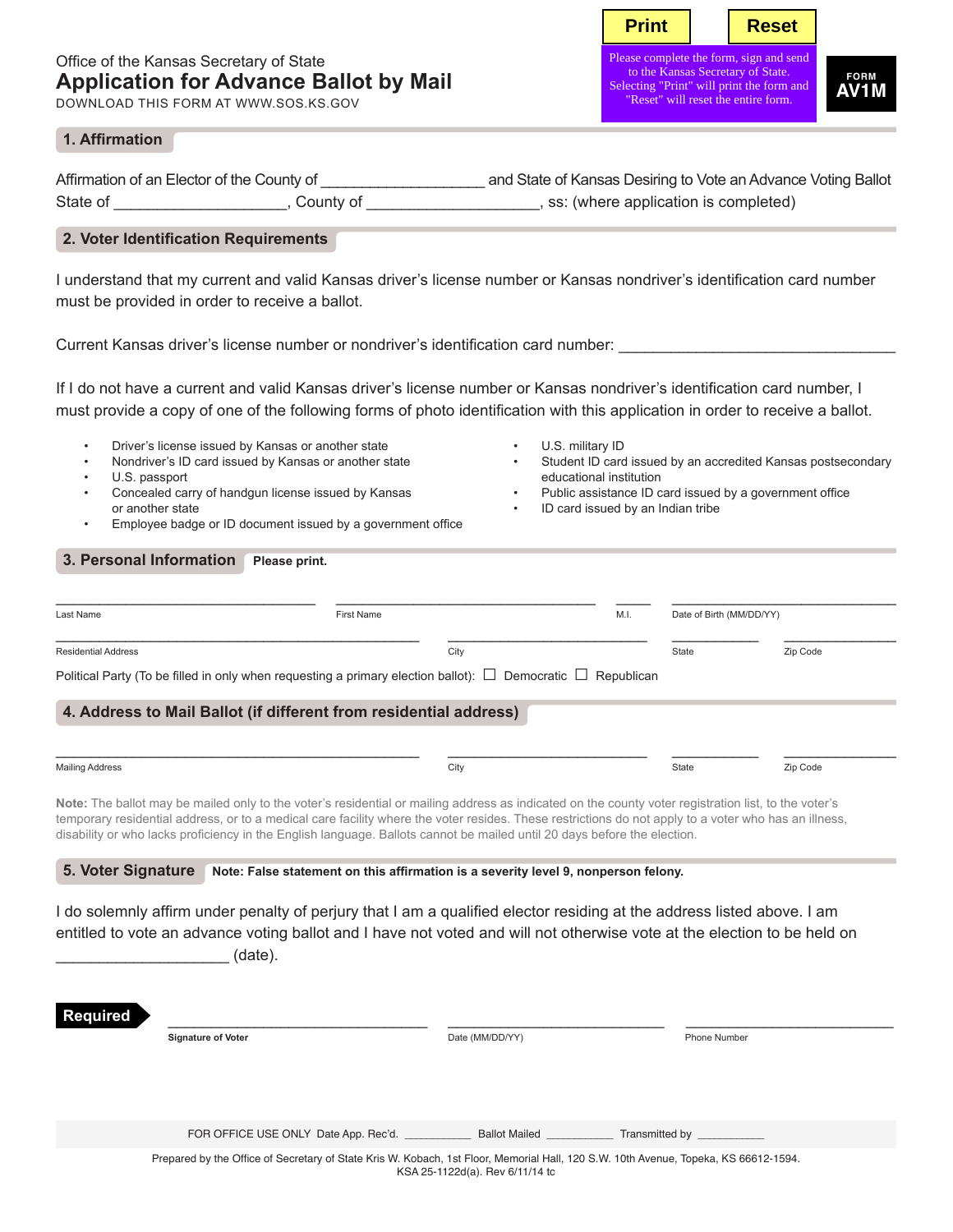# Office of the Kansas Secretary of State **Application for Advance Ballot by Mail**

DOWNLOAD THIS FORM AT WWW.SOS.KS.GOV

**Print** | Reset

Please complete the form, sign to the Kansas Secretary of State. Selecting "Print" will print the form and "Reset" will reset the entire form.

**FORM AV1M**

### **1. Affirmation**

|          | Affirmation of an Elector of the County of | and State of Kansas Desiring to Vote an Advance Voting Ballot |
|----------|--------------------------------------------|---------------------------------------------------------------|
| State of | County of                                  | , ss: (where application is completed)                        |

## **2. Voter Identification Requirements**

I understand that my current and valid Kansas driver's license number or Kansas nondriver's identification card number must be provided in order to receive a ballot.

Current Kansas driver's license number or nondriver's identification card number:

If I do not have a current and valid Kansas driver's license number or Kansas nondriver's identification card number, I must provide a copy of one of the following forms of photo identification with this application in order to receive a ballot.

- Driver's license issued by Kansas or another state
- Nondriver's ID card issued by Kansas or another state
- U.S. passport
- Concealed carry of handgun license issued by Kansas or another state
- Employee badge or ID document issued by a government office
- U.S. military ID
- Student ID card issued by an accredited Kansas postsecondary educational institution
- Public assistance ID card issued by a government office
- ID card issued by an Indian tribe

### **3. Personal Information** Please print.

| Last Name                  | First Name                                                                                                            | M.I. | Date of Birth (MM/DD/YY) |          |
|----------------------------|-----------------------------------------------------------------------------------------------------------------------|------|--------------------------|----------|
| <b>Residential Address</b> | City                                                                                                                  |      | State                    | Zip Code |
|                            | Political Party (To be filled in only when requesting a primary election ballot): $\Box$ Democratic $\Box$ Republican |      |                          |          |

### **4. Address to Mail Ballot (if different from residential address)**

| <b>Mailing Address</b> | City | State | Zip Code |
|------------------------|------|-------|----------|
|                        |      |       |          |

**Note:** The ballot may be mailed only to the voter's residential or mailing address as indicated on the county voter registration list, to the voter's temporary residential address, or to a medical care facility where the voter resides. These restrictions do not apply to a voter who has an illness, disability or who lacks proficiency in the English language. Ballots cannot be mailed until 20 days before the election.

**5. Voter Signature Note: False statement on this affirmation is a severity level 9, nonperson felony.**

I do solemnly affirm under penalty of perjury that I am a qualified elector residing at the address listed above. I am entitled to vote an advance voting ballot and I have not voted and will not otherwise vote at the election to be held on  $(date)$ .

| <b>Required</b> |                                                                                                                                     |                                    |                               |
|-----------------|-------------------------------------------------------------------------------------------------------------------------------------|------------------------------------|-------------------------------|
|                 | <b>Signature of Voter</b>                                                                                                           | Date (MM/DD/YY)                    | Phone Number                  |
|                 |                                                                                                                                     |                                    |                               |
|                 |                                                                                                                                     |                                    |                               |
|                 |                                                                                                                                     |                                    |                               |
|                 | FOR OFFICE USE ONLY Date App. Rec'd.                                                                                                | <b>Ballot Mailed Ballot</b> Mailed | Transmitted by ______________ |
|                 | Prepared by the Office of Secretary of State Kris W. Kobach, 1st Floor, Memorial Hall, 120 S.W. 10th Avenue, Topeka, KS 66612-1594. | KSA 25-1122d(a). Rev 6/11/14 to    |                               |